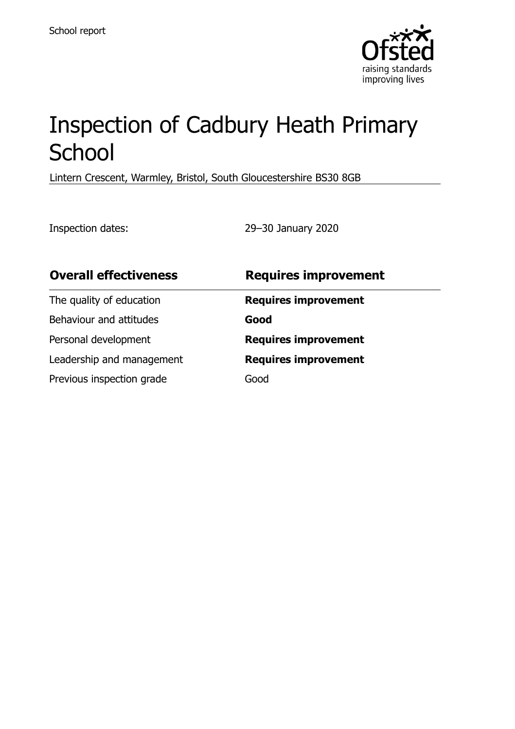

# Inspection of Cadbury Heath Primary School

Lintern Crescent, Warmley, Bristol, South Gloucestershire BS30 8GB

Inspection dates: 29–30 January 2020

| <b>Overall effectiveness</b> | <b>Requires improvement</b> |
|------------------------------|-----------------------------|
| The quality of education     | <b>Requires improvement</b> |
| Behaviour and attitudes      | Good                        |
| Personal development         | <b>Requires improvement</b> |
| Leadership and management    | <b>Requires improvement</b> |
| Previous inspection grade    | Good                        |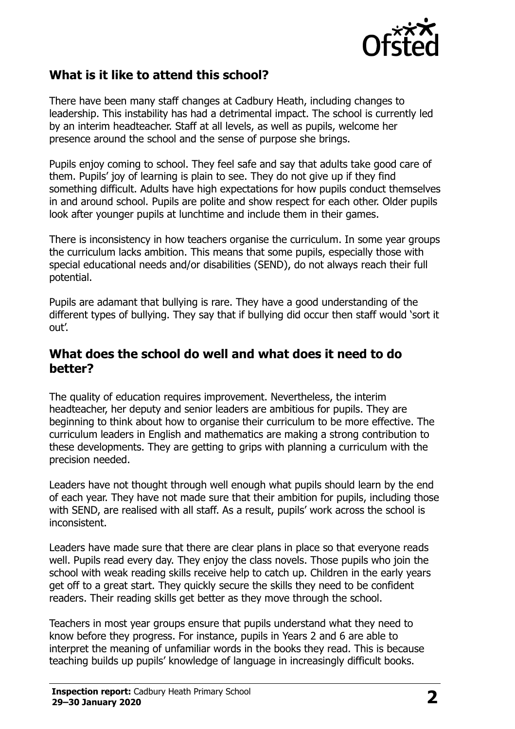

#### **What is it like to attend this school?**

There have been many staff changes at Cadbury Heath, including changes to leadership. This instability has had a detrimental impact. The school is currently led by an interim headteacher. Staff at all levels, as well as pupils, welcome her presence around the school and the sense of purpose she brings.

Pupils enjoy coming to school. They feel safe and say that adults take good care of them. Pupils' joy of learning is plain to see. They do not give up if they find something difficult. Adults have high expectations for how pupils conduct themselves in and around school. Pupils are polite and show respect for each other. Older pupils look after younger pupils at lunchtime and include them in their games.

There is inconsistency in how teachers organise the curriculum. In some year groups the curriculum lacks ambition. This means that some pupils, especially those with special educational needs and/or disabilities (SEND), do not always reach their full potential.

Pupils are adamant that bullying is rare. They have a good understanding of the different types of bullying. They say that if bullying did occur then staff would 'sort it out'.

#### **What does the school do well and what does it need to do better?**

The quality of education requires improvement. Nevertheless, the interim headteacher, her deputy and senior leaders are ambitious for pupils. They are beginning to think about how to organise their curriculum to be more effective. The curriculum leaders in English and mathematics are making a strong contribution to these developments. They are getting to grips with planning a curriculum with the precision needed.

Leaders have not thought through well enough what pupils should learn by the end of each year. They have not made sure that their ambition for pupils, including those with SEND, are realised with all staff. As a result, pupils' work across the school is inconsistent.

Leaders have made sure that there are clear plans in place so that everyone reads well. Pupils read every day. They enjoy the class novels. Those pupils who join the school with weak reading skills receive help to catch up. Children in the early years get off to a great start. They quickly secure the skills they need to be confident readers. Their reading skills get better as they move through the school.

Teachers in most year groups ensure that pupils understand what they need to know before they progress. For instance, pupils in Years 2 and 6 are able to interpret the meaning of unfamiliar words in the books they read. This is because teaching builds up pupils' knowledge of language in increasingly difficult books.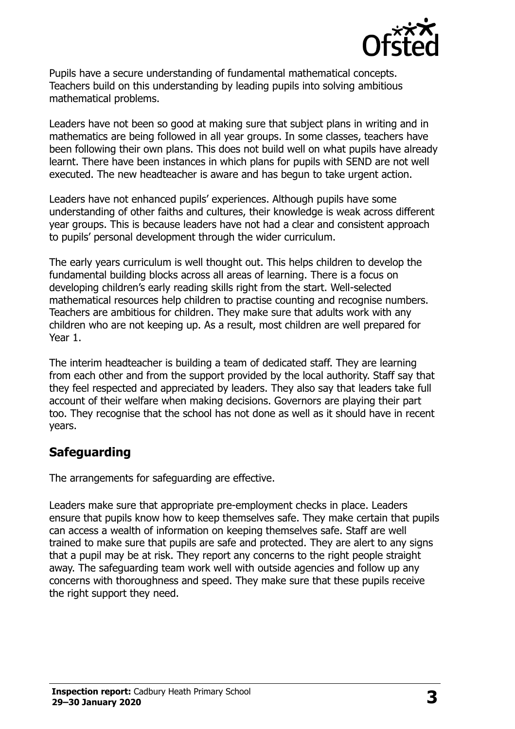

Pupils have a secure understanding of fundamental mathematical concepts. Teachers build on this understanding by leading pupils into solving ambitious mathematical problems.

Leaders have not been so good at making sure that subject plans in writing and in mathematics are being followed in all year groups. In some classes, teachers have been following their own plans. This does not build well on what pupils have already learnt. There have been instances in which plans for pupils with SEND are not well executed. The new headteacher is aware and has begun to take urgent action.

Leaders have not enhanced pupils' experiences. Although pupils have some understanding of other faiths and cultures, their knowledge is weak across different year groups. This is because leaders have not had a clear and consistent approach to pupils' personal development through the wider curriculum.

The early years curriculum is well thought out. This helps children to develop the fundamental building blocks across all areas of learning. There is a focus on developing children's early reading skills right from the start. Well-selected mathematical resources help children to practise counting and recognise numbers. Teachers are ambitious for children. They make sure that adults work with any children who are not keeping up. As a result, most children are well prepared for Year 1.

The interim headteacher is building a team of dedicated staff. They are learning from each other and from the support provided by the local authority. Staff say that they feel respected and appreciated by leaders. They also say that leaders take full account of their welfare when making decisions. Governors are playing their part too. They recognise that the school has not done as well as it should have in recent years.

### **Safeguarding**

The arrangements for safeguarding are effective.

Leaders make sure that appropriate pre-employment checks in place. Leaders ensure that pupils know how to keep themselves safe. They make certain that pupils can access a wealth of information on keeping themselves safe. Staff are well trained to make sure that pupils are safe and protected. They are alert to any signs that a pupil may be at risk. They report any concerns to the right people straight away. The safeguarding team work well with outside agencies and follow up any concerns with thoroughness and speed. They make sure that these pupils receive the right support they need.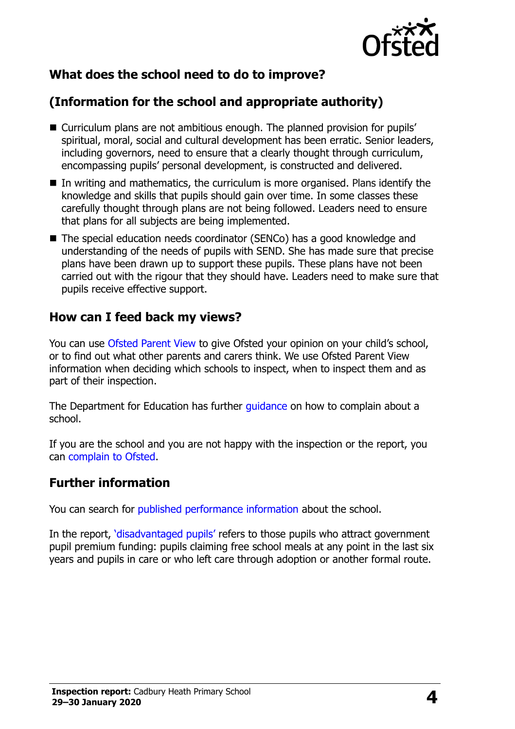

## **What does the school need to do to improve?**

# **(Information for the school and appropriate authority)**

- Curriculum plans are not ambitious enough. The planned provision for pupils' spiritual, moral, social and cultural development has been erratic. Senior leaders, including governors, need to ensure that a clearly thought through curriculum, encompassing pupils' personal development, is constructed and delivered.
- $\blacksquare$  In writing and mathematics, the curriculum is more organised. Plans identify the knowledge and skills that pupils should gain over time. In some classes these carefully thought through plans are not being followed. Leaders need to ensure that plans for all subjects are being implemented.
- The special education needs coordinator (SENCo) has a good knowledge and understanding of the needs of pupils with SEND. She has made sure that precise plans have been drawn up to support these pupils. These plans have not been carried out with the rigour that they should have. Leaders need to make sure that pupils receive effective support.

#### **How can I feed back my views?**

You can use [Ofsted Parent View](http://parentview.ofsted.gov.uk/) to give Ofsted your opinion on your child's school, or to find out what other parents and carers think. We use Ofsted Parent View information when deciding which schools to inspect, when to inspect them and as part of their inspection.

The Department for Education has further quidance on how to complain about a school.

If you are the school and you are not happy with the inspection or the report, you can [complain to Ofsted.](http://www.gov.uk/complain-ofsted-report)

#### **Further information**

You can search for [published performance information](http://www.compare-school-performance.service.gov.uk/) about the school.

In the report, '[disadvantaged pupils](http://www.gov.uk/guidance/pupil-premium-information-for-schools-and-alternative-provision-settings)' refers to those pupils who attract government pupil premium funding: pupils claiming free school meals at any point in the last six years and pupils in care or who left care through adoption or another formal route.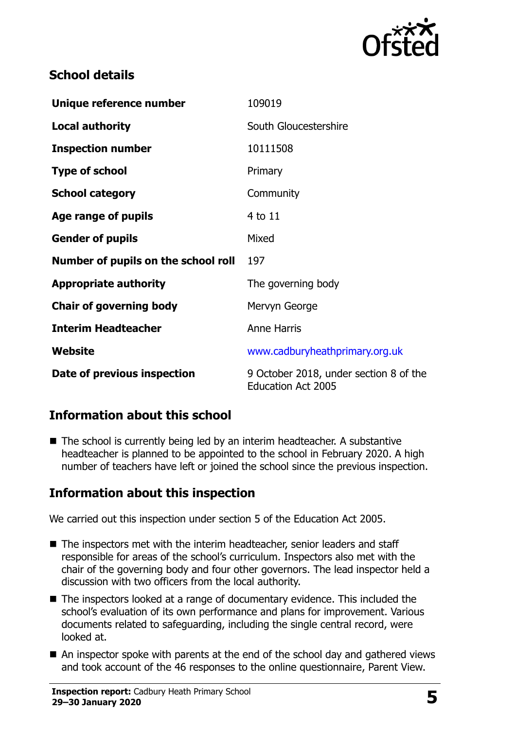

### **School details**

| Unique reference number             | 109019                                                              |
|-------------------------------------|---------------------------------------------------------------------|
| <b>Local authority</b>              | South Gloucestershire                                               |
| <b>Inspection number</b>            | 10111508                                                            |
| <b>Type of school</b>               | Primary                                                             |
| <b>School category</b>              | Community                                                           |
| Age range of pupils                 | 4 to 11                                                             |
| <b>Gender of pupils</b>             | Mixed                                                               |
| Number of pupils on the school roll | 197                                                                 |
| <b>Appropriate authority</b>        | The governing body                                                  |
| <b>Chair of governing body</b>      | Mervyn George                                                       |
| <b>Interim Headteacher</b>          | <b>Anne Harris</b>                                                  |
| Website                             | www.cadburyheathprimary.org.uk                                      |
| Date of previous inspection         | 9 October 2018, under section 8 of the<br><b>Education Act 2005</b> |

### **Information about this school**

■ The school is currently being led by an interim headteacher. A substantive headteacher is planned to be appointed to the school in February 2020. A high number of teachers have left or joined the school since the previous inspection.

### **Information about this inspection**

We carried out this inspection under section 5 of the Education Act 2005.

- The inspectors met with the interim headteacher, senior leaders and staff responsible for areas of the school's curriculum. Inspectors also met with the chair of the governing body and four other governors. The lead inspector held a discussion with two officers from the local authority.
- The inspectors looked at a range of documentary evidence. This included the school's evaluation of its own performance and plans for improvement. Various documents related to safeguarding, including the single central record, were looked at.
- An inspector spoke with parents at the end of the school day and gathered views and took account of the 46 responses to the online questionnaire, Parent View.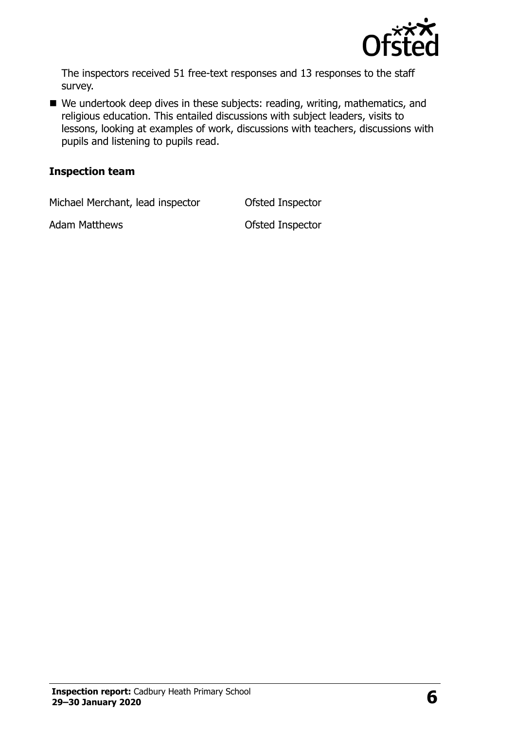

The inspectors received 51 free-text responses and 13 responses to the staff survey.

■ We undertook deep dives in these subjects: reading, writing, mathematics, and religious education. This entailed discussions with subject leaders, visits to lessons, looking at examples of work, discussions with teachers, discussions with pupils and listening to pupils read.

#### **Inspection team**

Michael Merchant, lead inspector **Ofsted Inspector** 

Adam Matthews **Calculation Control** Ofsted Inspector